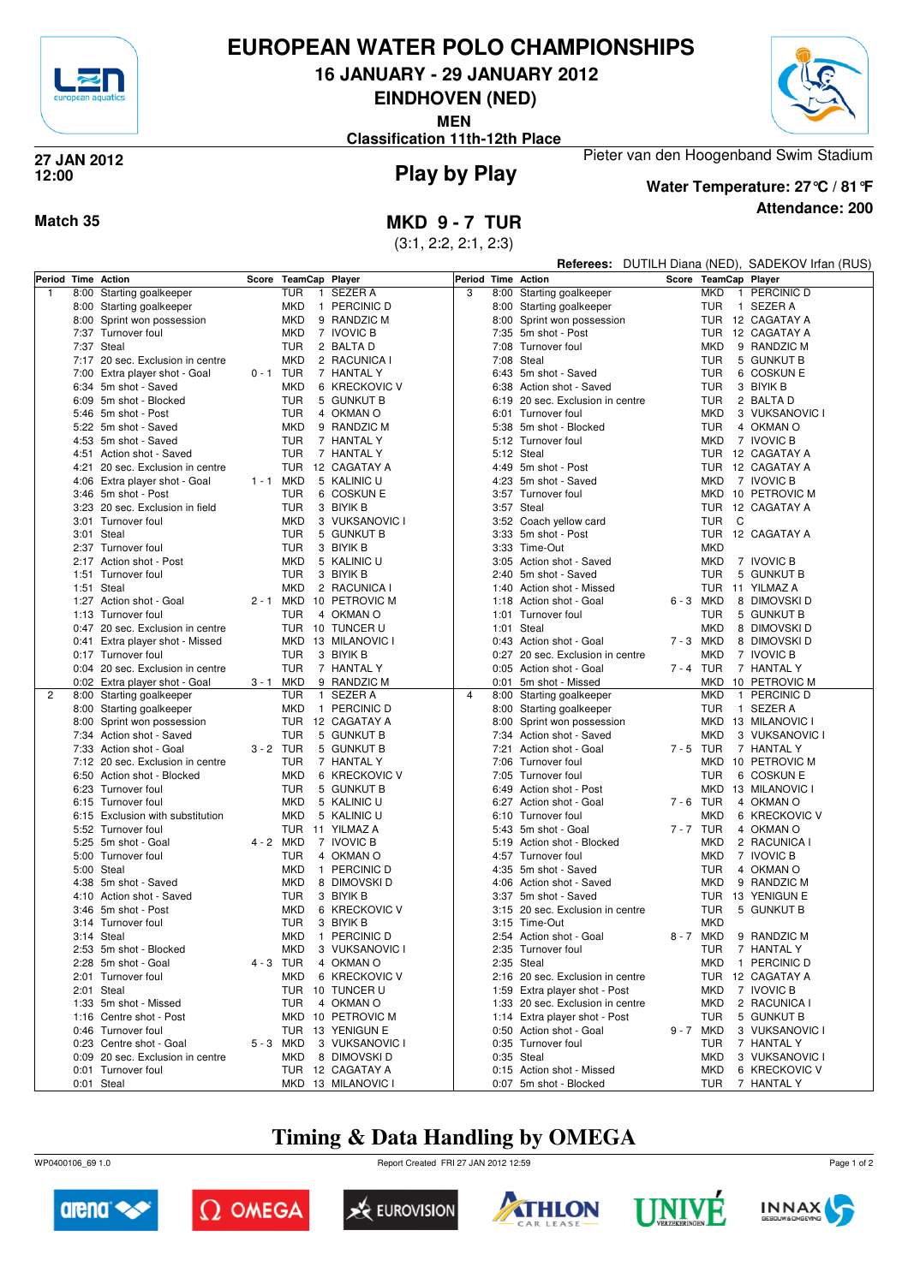

## **EUROPEAN WATER POLO CHAMPIONSHIPS**

**16 JANUARY - 29 JANUARY 2012**

**EINDHOVEN (NED)**

**MEN**

**Classification 11th-12th Place**



#### **Play by Play 27 JAN 2012 12:00**



**Attendance: 200 Water Temperature: 27°C / 81°F**

Pieter van den Hoogenband Swim Stadium

#### **Match 35 MKD 9 - 7 TUR**

(3:1, 2:2, 2:1, 2:3)

|   |      |                                  |           |                |              |                    |                    |            |                                  |             |              | Referees: DUTILH Diana (NED), SADEKOV Irfan (RUS) |
|---|------|----------------------------------|-----------|----------------|--------------|--------------------|--------------------|------------|----------------------------------|-------------|--------------|---------------------------------------------------|
|   |      | Period Time Action               | Score     | TeamCap Player |              |                    | Period Time Action |            |                                  |             |              | Score TeamCap Player                              |
| 1 | 8:00 | Starting goalkeeper              |           | <b>TUR</b>     | $\mathbf{1}$ | <b>SEZER A</b>     | 3                  |            | 8:00 Starting goalkeeper         | <b>MKD</b>  | $\mathbf{1}$ | PERCINIC D                                        |
|   |      | 8:00 Starting goalkeeper         |           | <b>MKD</b>     |              | 1 PERCINIC D       |                    |            | 8:00 Starting goalkeeper         | <b>TUR</b>  |              | 1 SEZER A                                         |
|   |      | 8:00 Sprint won possession       |           | <b>MKD</b>     |              | 9 RANDZIC M        |                    |            | 8:00 Sprint won possession       |             |              | TUR 12 CAGATAY A                                  |
|   |      | 7:37 Turnover foul               |           | <b>MKD</b>     |              | 7 IVOVIC B         |                    |            | 7:35 5m shot - Post              | <b>TUR</b>  |              | 12 CAGATAY A                                      |
|   |      | 7:37 Steal                       |           | <b>TUR</b>     |              | 2 BALTA D          |                    | 7:08       | Turnover foul                    | MKD         |              | 9 RANDZIC M                                       |
|   |      | 7:17 20 sec. Exclusion in centre |           | <b>MKD</b>     |              | 2 RACUNICA I       |                    | 7:08       | Steal                            | <b>TUR</b>  |              | 5 GUNKUT B                                        |
|   |      | 7:00 Extra player shot - Goal    | 0 - 1     | TUR            |              | 7 HANTAL Y         |                    |            | 6:43 5m shot - Saved             | <b>TUR</b>  |              | 6 COSKUN E                                        |
|   |      | 6:34 5m shot - Saved             |           | <b>MKD</b>     |              | 6 KRECKOVIC V      |                    |            | 6:38 Action shot - Saved         | <b>TUR</b>  |              | 3 BIYIK B                                         |
|   |      | 6:09 5m shot - Blocked           |           | <b>TUR</b>     |              | 5 GUNKUT B         |                    |            | 6:19 20 sec. Exclusion in centre | <b>TUR</b>  |              | 2 BALTA D                                         |
|   |      | 5:46 5m shot - Post              |           | <b>TUR</b>     |              | 4 OKMAN O          |                    |            | 6:01 Turnover foul               | <b>MKD</b>  |              | 3 VUKSANOVIC I                                    |
|   |      | 5:22 5m shot - Saved             |           | <b>MKD</b>     |              | 9 RANDZIC M        |                    |            | 5:38 5m shot - Blocked           | <b>TUR</b>  |              | 4 OKMAN O                                         |
|   |      | 4:53 5m shot - Saved             |           | <b>TUR</b>     |              | 7 HANTAL Y         |                    |            | 5:12 Turnover foul               | <b>MKD</b>  |              | 7 IVOVIC B                                        |
|   |      | 4:51 Action shot - Saved         |           | <b>TUR</b>     |              | 7 HANTAL Y         |                    |            | 5:12 Steal                       | <b>TUR</b>  |              | 12 CAGATAY A                                      |
|   |      | 4:21 20 sec. Exclusion in centre |           |                |              | TUR 12 CAGATAY A   |                    |            | 4:49 5m shot - Post              | TUR         |              | 12 CAGATAY A                                      |
|   |      | 4:06 Extra player shot - Goal    | $1 - 1$   | MKD            |              | 5 KALINIC U        |                    |            | 4:23 5m shot - Saved             | <b>MKD</b>  |              | 7 IVOVIC B                                        |
|   |      | 3:46 5m shot - Post              |           | TUR            |              | 6 COSKUN E         |                    |            | 3:57 Turnover foul               |             |              | MKD 10 PETROVIC M                                 |
|   |      | 3:23 20 sec. Exclusion in field  |           | TUR            |              | 3 BIYIK B          |                    |            | 3:57 Steal                       | <b>TUR</b>  |              | 12 CAGATAY A                                      |
|   |      | 3:01 Turnover foul               |           | <b>MKD</b>     |              | 3 VUKSANOVIC I     |                    |            | 3:52 Coach yellow card           | <b>TUR</b>  | C            |                                                   |
|   |      | 3:01 Steal                       |           | <b>TUR</b>     |              | 5 GUNKUT B         |                    |            | 3:33 5m shot - Post              | <b>TUR</b>  |              | 12 CAGATAY A                                      |
|   |      | 2:37 Turnover foul               |           | TUR            |              | 3 BIYIK B          |                    |            | 3:33 Time-Out                    | <b>MKD</b>  |              |                                                   |
|   |      | 2:17 Action shot - Post          |           | <b>MKD</b>     |              | 5 KALINIC U        |                    |            | 3:05 Action shot - Saved         | <b>MKD</b>  |              | 7 IVOVIC B                                        |
|   |      | 1:51 Turnover foul               |           | <b>TUR</b>     |              | 3 BIYIK B          |                    | 2:40       | 5m shot - Saved                  | <b>TUR</b>  |              | 5 GUNKUT B                                        |
|   |      | 1:51 Steal                       |           | MKD            |              | 2 RACUNICA I       |                    |            | 1:40 Action shot - Missed        | <b>TUR</b>  |              | 11 YILMAZ A                                       |
|   |      | 1:27 Action shot - Goal          | $2 - 1$   |                |              | MKD 10 PETROVIC M  |                    |            | 1:18 Action shot - Goal          | 6-3 MKD     |              | 8 DIMOVSKI D                                      |
|   |      | 1:13 Turnover foul               |           | <b>TUR</b>     |              | 4 OKMAN O          |                    |            | 1:01 Turnover foul               | <b>TUR</b>  |              | 5 GUNKUT B                                        |
|   |      | 0:47 20 sec. Exclusion in centre |           |                |              | TUR 10 TUNCER U    |                    | 1:01       | Steal                            | <b>MKD</b>  |              | 8 DIMOVSKI D                                      |
|   |      | 0:41 Extra player shot - Missed  |           |                |              | MKD 13 MILANOVIC I |                    |            | 0:43 Action shot - Goal          | 7-3 MKD     |              | 8 DIMOVSKI D                                      |
|   |      | 0:17 Turnover foul               |           | <b>TUR</b>     |              | 3 BIYIK B          |                    |            | 0:27 20 sec. Exclusion in centre | <b>MKD</b>  |              | 7 IVOVIC B                                        |
|   |      | 0:04 20 sec. Exclusion in centre |           | <b>TUR</b>     |              | 7 HANTAL Y         |                    |            | 0:05 Action shot - Goal          | 7-4 TUR     |              | 7 HANTAL Y                                        |
|   |      | 0:02 Extra player shot - Goal    | 3 - 1     | MKD            |              | 9 RANDZIC M        |                    |            | 0:01 5m shot - Missed            | <b>MKD</b>  |              | 10 PETROVIC M                                     |
| 2 |      | 8:00 Starting goalkeeper         |           | <b>TUR</b>     |              | 1 SEZER A          | $\overline{4}$     |            | 8:00 Starting goalkeeper         | <b>MKD</b>  |              | 1 PERCINIC D                                      |
|   |      | 8:00 Starting goalkeeper         |           | <b>MKD</b>     |              | 1 PERCINIC D       |                    |            | 8:00 Starting goalkeeper         | <b>TUR</b>  |              | 1 SEZER A                                         |
|   |      | 8:00 Sprint won possession       |           |                |              | TUR 12 CAGATAY A   |                    |            | 8:00 Sprint won possession       | MKD.        |              | 13 MILANOVIC I                                    |
|   |      | 7:34 Action shot - Saved         |           | <b>TUR</b>     |              | 5 GUNKUT B         |                    |            | 7:34 Action shot - Saved         | MKD         |              | 3 VUKSANOVIC I                                    |
|   |      | 7:33 Action shot - Goal          | 3-2 TUR   |                |              | 5 GUNKUT B         |                    |            | 7:21 Action shot - Goal          | 7-5 TUR     |              | 7 HANTAL Y                                        |
|   |      | 7:12 20 sec. Exclusion in centre |           | <b>TUR</b>     |              | 7 HANTAL Y         |                    | 7:06       | Turnover foul                    | <b>MKD</b>  |              | 10 PETROVIC M                                     |
|   |      | 6:50 Action shot - Blocked       |           | <b>MKD</b>     |              | 6 KRECKOVIC V      |                    |            | 7:05 Turnover foul               | <b>TUR</b>  |              | 6 COSKUN E                                        |
|   |      | 6:23 Turnover foul               |           | <b>TUR</b>     |              | 5 GUNKUT B         |                    |            | 6:49 Action shot - Post          | <b>MKD</b>  |              | 13 MILANOVIC I                                    |
|   |      | 6:15 Turnover foul               |           | <b>MKD</b>     |              | 5 KALINIC U        |                    |            | 6:27 Action shot - Goal          | $7 - 6$ TUR |              | 4 OKMAN O                                         |
|   |      | 6:15 Exclusion with substitution |           | <b>MKD</b>     |              | 5 KALINIC U        |                    |            | 6:10 Turnover foul               | <b>MKD</b>  |              | 6 KRECKOVIC V                                     |
|   |      | 5:52 Turnover foul               |           |                |              | TUR 11 YILMAZ A    |                    |            | 5:43 5m shot - Goal              | 7-7 TUR     |              | 4 OKMAN O                                         |
|   |      | 5:25 5m shot - Goal              | 4 - 2 MKD |                |              | 7 IVOVIC B         |                    |            | 5:19 Action shot - Blocked       | <b>MKD</b>  |              | 2 RACUNICA I                                      |
|   | 5:00 | Turnover foul                    |           | <b>TUR</b>     |              | 4 OKMAN O          |                    |            | 4:57 Turnover foul               | <b>MKD</b>  |              | 7 IVOVIC B                                        |
|   |      | 5:00 Steal                       |           | <b>MKD</b>     |              | 1 PERCINIC D       |                    |            | 4:35 5m shot - Saved             | <b>TUR</b>  |              | 4 OKMAN O                                         |
|   |      | 4:38 5m shot - Saved             |           | <b>MKD</b>     |              | 8 DIMOVSKI D       |                    |            | 4:06 Action shot - Saved         | <b>MKD</b>  |              | 9 RANDZIC M                                       |
|   |      | 4:10 Action shot - Saved         |           | <b>TUR</b>     |              | 3 BIYIK B          |                    |            | 3:37 5m shot - Saved             |             |              | TUR 13 YENIGUN E                                  |
|   |      | 3:46 5m shot - Post              |           | MKD            |              | 6 KRECKOVIC V      |                    |            | 3:15 20 sec. Exclusion in centre | <b>TUR</b>  |              | 5 GUNKUT B                                        |
|   |      | 3:14 Turnover foul               |           | <b>TUR</b>     |              | 3 BIYIK B          |                    |            | 3:15 Time-Out                    | MKD         |              |                                                   |
|   |      | 3:14 Steal                       |           |                |              | MKD 1 PERCINIC D   |                    |            | 2:54 Action shot - Goal          | 8-7 MKD     |              | 9 RANDZIC M                                       |
|   |      | 2:53 5m shot - Blocked           |           |                |              | MKD 3 VUKSANOVIC I |                    |            | 2:35 Turnover foul               |             |              | TUR 7 HANTAL Y                                    |
|   |      | 2:28 5m shot - Goal              | 4-3 TUR   |                |              | 4 OKMAN O          |                    |            | 2:35 Steal                       | MKD         |              | 1 PERCINIC D                                      |
|   |      | 2:01 Turnover foul               |           | MKD            |              | 6 KRECKOVIC V      |                    |            | 2:16 20 sec. Exclusion in centre |             |              | TUR 12 CAGATAY A                                  |
|   |      | 2:01 Steal                       |           |                |              | TUR 10 TUNCER U    |                    |            | 1:59 Extra player shot - Post    | MKD         |              | 7 IVOVIC B                                        |
|   |      | 1:33 5m shot - Missed            |           | TUR            |              | 4 OKMAN O          |                    |            | 1:33 20 sec. Exclusion in centre | MKD         |              | 2 RACUNICA I                                      |
|   |      | 1:16 Centre shot - Post          |           |                |              | MKD 10 PETROVIC M  |                    |            | 1:14 Extra player shot - Post    | TUR         |              | 5 GUNKUT B                                        |
|   |      | 0:46 Turnover foul               |           |                |              | TUR 13 YENIGUN E   |                    |            | 0:50 Action shot - Goal          | 9-7 MKD     |              | 3 VUKSANOVIC I                                    |
|   |      | 0:23 Centre shot - Goal          | 5-3 MKD   |                |              | 3 VUKSANOVIC I     |                    |            | 0:35 Turnover foul               | TUR         |              | 7 HANTAL Y                                        |
|   |      | 0:09 20 sec. Exclusion in centre |           | MKD            |              | 8 DIMOVSKI D       |                    | 0:35 Steal |                                  | <b>MKD</b>  |              | 3 VUKSANOVIC I                                    |
|   |      | 0:01 Turnover foul               |           |                |              | TUR 12 CAGATAY A   |                    |            | 0:15 Action shot - Missed        | <b>MKD</b>  |              | 6 KRECKOVIC V                                     |
|   |      | 0:01 Steal                       |           |                |              | MKD 13 MILANOVIC I |                    |            | 0:07 5m shot - Blocked           | TUR         |              | 7 HANTAL Y                                        |

## **Timing & Data Handling by OMEGA**

WP0400106\_69 1.0 Report Created FRI 27 JAN 2012 12:59













Page 1 of 2